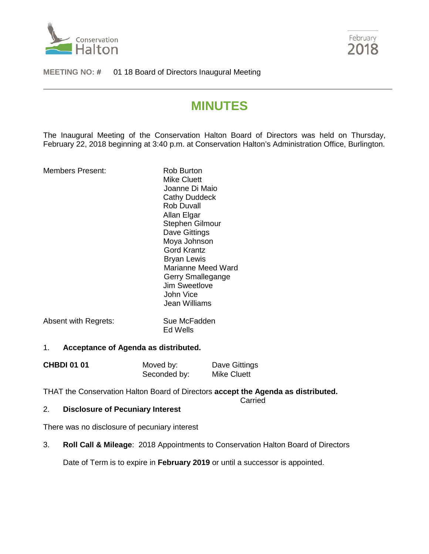



#### **MEETING NO:** # 01 18 Board of Directors Inaugural Meeting

# **MINUTES**

The Inaugural Meeting of the Conservation Halton Board of Directors was held on Thursday, February 22, 2018 beginning at 3:40 p.m. at Conservation Halton's Administration Office, Burlington.

Members Present: Rob Burton

Mike Cluett Joanne Di Maio Cathy Duddeck Rob Duvall Allan Elgar Stephen Gilmour Dave Gittings Moya Johnson Gord Krantz Bryan Lewis Marianne Meed Ward Gerry Smallegange Jim Sweetlove John Vice Jean Williams

Absent with Regrets: Sue McFadden Ed Wells

#### 1. **Acceptance of Agenda as distributed.**

| <b>CHBDI 01 01</b> | Moved by:    | Dave Gittings      |
|--------------------|--------------|--------------------|
|                    | Seconded by: | <b>Mike Cluett</b> |

THAT the Conservation Halton Board of Directors **accept the Agenda as distributed.**

Carried

## 2. **Disclosure of Pecuniary Interest**

There was no disclosure of pecuniary interest

3. **Roll Call & Mileage**: 2018 Appointments to Conservation Halton Board of Directors

Date of Term is to expire in **February 2019** or until a successor is appointed.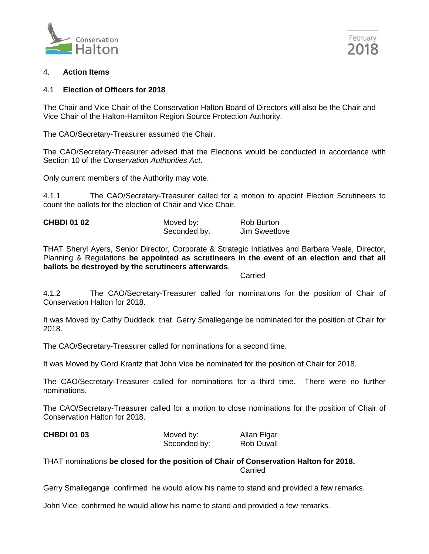



#### 4. **Action Items**

## 4.1 **Election of Officers for 2018**

The Chair and Vice Chair of the Conservation Halton Board of Directors will also be the Chair and Vice Chair of the Halton-Hamilton Region Source Protection Authority.

The CAO/Secretary-Treasurer assumed the Chair.

The CAO/Secretary-Treasurer advised that the Elections would be conducted in accordance with Section 10 of the *Conservation Authorities Act*.

Only current members of the Authority may vote.

4.1.1 The CAO/Secretary-Treasurer called for a motion to appoint Election Scrutineers to count the ballots for the election of Chair and Vice Chair.

| <b>CHBDI 01 02</b> | Moved by:    | Rob Burton    |
|--------------------|--------------|---------------|
|                    | Seconded by: | Jim Sweetlove |

THAT Sheryl Ayers, Senior Director, Corporate & Strategic Initiatives and Barbara Veale, Director, Planning & Regulations **be appointed as scrutineers in the event of an election and that all ballots be destroyed by the scrutineers afterwards**.

Carried

4.1.2 The CAO/Secretary-Treasurer called for nominations for the position of Chair of Conservation Halton for 2018.

It was Moved by Cathy Duddeck that Gerry Smallegange be nominated for the position of Chair for 2018.

The CAO/Secretary-Treasurer called for nominations for a second time.

It was Moved by Gord Krantz that John Vice be nominated for the position of Chair for 2018.

The CAO/Secretary-Treasurer called for nominations for a third time. There were no further nominations.

The CAO/Secretary-Treasurer called for a motion to close nominations for the position of Chair of Conservation Halton for 2018.

| <b>CHBDI 01 03</b> | Moved by:    | Allan Elgar |
|--------------------|--------------|-------------|
|                    | Seconded by: | Rob Duvall  |

THAT nominations **be closed for the position of Chair of Conservation Halton for 2018.** Carried

Gerry Smallegange confirmed he would allow his name to stand and provided a few remarks.

John Vice confirmed he would allow his name to stand and provided a few remarks.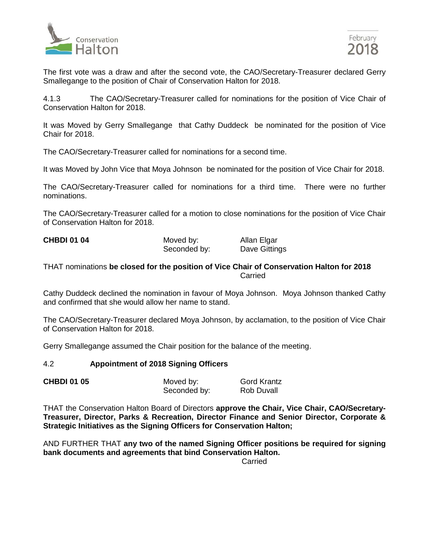

The first vote was a draw and after the second vote, the CAO/Secretary-Treasurer declared Gerry Smallegange to the position of Chair of Conservation Halton for 2018.

4.1.3 The CAO/Secretary-Treasurer called for nominations for the position of Vice Chair of Conservation Halton for 2018.

It was Moved by Gerry Smallegange that Cathy Duddeck be nominated for the position of Vice Chair for 2018.

The CAO/Secretary-Treasurer called for nominations for a second time.

It was Moved by John Vice that Moya Johnson be nominated for the position of Vice Chair for 2018.

The CAO/Secretary-Treasurer called for nominations for a third time. There were no further nominations.

The CAO/Secretary-Treasurer called for a motion to close nominations for the position of Vice Chair of Conservation Halton for 2018.

| <b>CHBDI 01 04</b> | Moved by:    | Allan Elgar   |
|--------------------|--------------|---------------|
|                    | Seconded by: | Dave Gittings |

THAT nominations **be closed for the position of Vice Chair of Conservation Halton for 2018** Carried

Cathy Duddeck declined the nomination in favour of Moya Johnson. Moya Johnson thanked Cathy and confirmed that she would allow her name to stand.

The CAO/Secretary-Treasurer declared Moya Johnson, by acclamation, to the position of Vice Chair of Conservation Halton for 2018.

Gerry Smallegange assumed the Chair position for the balance of the meeting.

#### 4.2 **Appointment of 2018 Signing Officers**

| <b>CHBDI 01 05</b> | Moved by:    | <b>Gord Krantz</b> |
|--------------------|--------------|--------------------|
|                    | Seconded by: | Rob Duvall         |

THAT the Conservation Halton Board of Directors **approve the Chair, Vice Chair, CAO/Secretary-Treasurer, Director, Parks & Recreation, Director Finance and Senior Director, Corporate & Strategic Initiatives as the Signing Officers for Conservation Halton;**

AND FURTHER THAT **any two of the named Signing Officer positions be required for signing bank documents and agreements that bind Conservation Halton.**

Carried